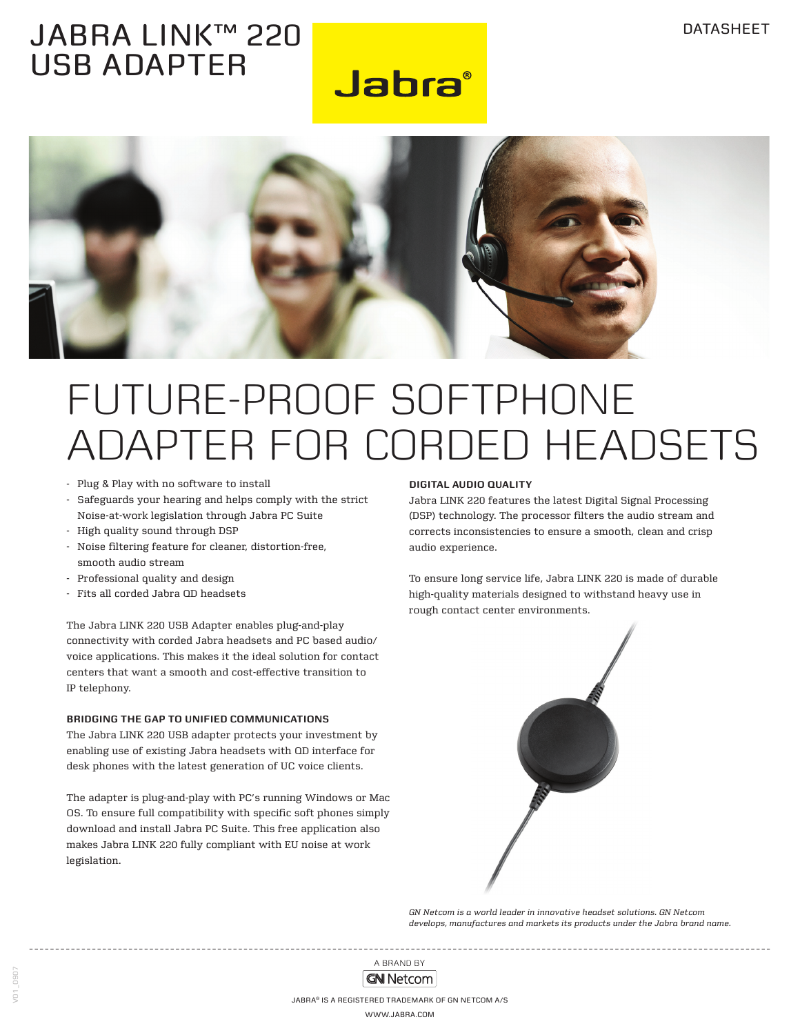### jabra link™ 220 USB ADAPTER

**Jabra**®



## Future-proof softphone adapter for corded headsets

- Plug & Play with no software to install
- Safeguards your hearing and helps comply with the strict Noise-at-work legislation through Jabra PC Suite
- High quality sound through DSP
- Noise filtering feature for cleaner, distortion-free, smooth audio stream
- Professional quality and design
- Fits all corded Jabra QD headsets

The Jabra LINK 220 USB Adapter enables plug-and-play connectivity with corded Jabra headsets and PC based audio/ voice applications. This makes it the ideal solution for contact centers that want a smooth and cost-effective transition to IP telephony.

#### **Bridging the gaP to Unified Communications**

The Jabra LINK 220 USB adapter protects your investment by enabling use of existing Jabra headsets with QD interface for desk phones with the latest generation of UC voice clients.

The adapter is plug-and-play with PC's running Windows or Mac OS. To ensure full compatibility with specific soft phones simply download and install Jabra PC Suite. This free application also makes Jabra LINK 220 fully compliant with EU noise at work legislation.

#### **digital audio quality**

Jabra LINK 220 features the latest Digital Signal Processing (DSP) technology. The processor filters the audio stream and corrects inconsistencies to ensure a smooth, clean and crisp audio experience.

To ensure long service life, Jabra LINK 220 is made of durable high-quality materials designed to withstand heavy use in rough contact center environments.



*GN Netcom is a world leader in innovative headset solutions. GN Netcom develops, manufactures and markets its products under the Jabra brand name.*

A BRAND BY